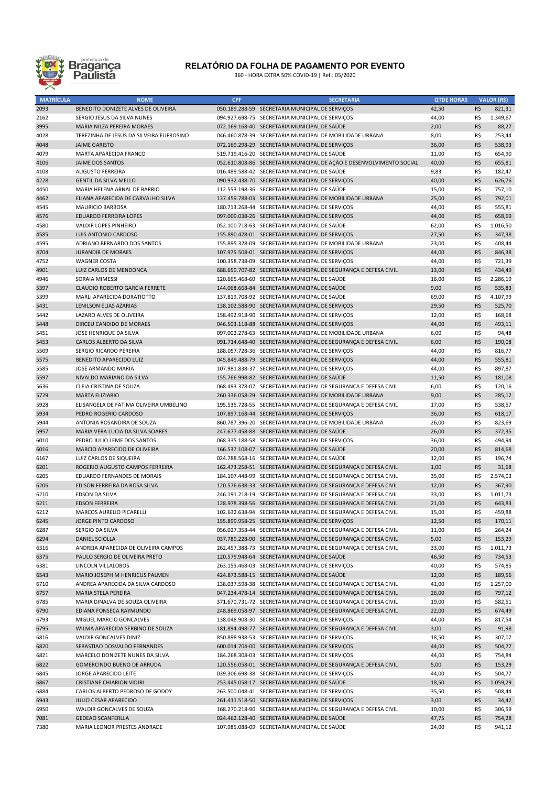

## RELATÓRIO DA FOLHA DE PAGAMENTO POR EVENTO

360 - HORA EXTRA 50% COVID-19 | Ref.: 05/2020

| <b>MATRÍCULA</b> | <b>NOME</b>                              | <b>CPF</b> | <b>SECRETARIA</b>                                                    | <b>QTDE HORAS</b> |     | <b>VALOR (R\$)</b> |
|------------------|------------------------------------------|------------|----------------------------------------------------------------------|-------------------|-----|--------------------|
| 2093             | BENEDITO DONIZETE ALVES DE OLIVEIRA      |            | 050.189.288-59 SECRETARIA MUNICIPAL DE SERVIÇOS                      | 42,50             | R\$ | 821,31             |
| 2162             | SERGIO JESUS DA SILVA NUNES              |            | 094.927.698-75 SECRETARIA MUNICIPAL DE SERVIÇOS                      | 44,00             | R\$ | 1.349,67           |
| 3995             | MARIA NILZA PEREIRA MORAES               |            | 072.169.168-40 SECRETARIA MUNICIPAL DE SAÚDE                         | 2,00              | R\$ | 88,27              |
| 4028             | TEREZINHA DE JESUS DA SILVEIRA EUFROSINO |            | 046.460.878-39 SECRETARIA MUNICIPAL DE MOBILIDADE URBANA             | 8,00              | R\$ | 253,44             |
| 4048             | <b>JAIME GARISTO</b>                     |            | 072.169.298-29 SECRETARIA MUNICIPAL DE SERVIÇOS                      | 36,00             | R\$ | 538,93             |
| 4079             | MARTA APARECIDA FRANCO                   |            | 519.719.416-20 SECRETARIA MUNICIPAL DE SAÚDE                         | 11,00             | R\$ | 654,90             |
| 4106             | JAIME DOS SANTOS                         |            | 052.610.808-86 SECRETARIA MUNICIPAL DE AÇÃO E DESENVOLVIMENTO SOCIAL | 40,00             | R\$ | 655,81             |
| 4108             | <b>AUGUSTO FERREIRA</b>                  |            | 016.489.588-42 SECRETARIA MUNICIPAL DE SAÚDE                         | 9,83              | R\$ | 182,47             |
| 4228             | <b>GENTIL DA SILVA MELLO</b>             |            | 090.932.438-70 SECRETARIA MUNICIPAL DE SERVIÇOS                      | 40,00             | R\$ | 626,76             |
| 4450             | MARIA HELENA ARNAL DE BARRIO             |            | 112.553.198-36 SECRETARIA MUNICIPAL DE SAÚDE                         | 15,00             | R\$ | 757,10             |
| 4462             | ELIANA APARECIDA DE CARVALHO SILVA       |            | 137.459.788-03 SECRETARIA MUNICIPAL DE MOBILIDADE URBANA             | 25,00             | R\$ | 792,01             |
| 4545             | <b>MAURICIO BARBOSA</b>                  |            | 180.713.268-44 SECRETARIA MUNICIPAL DE SERVIÇOS                      | 44,00             | R\$ | 555,81             |
| 4576             | <b>EDUARDO FERREIRA LOPES</b>            |            | 097.009.038-26 SECRETARIA MUNICIPAL DE SERVIÇOS                      | 44,00             | R\$ | 658,69             |
| 4580             | VALDIR LOPES PINHEIRO                    |            | 052.100.718-63 SECRETARIA MUNICIPAL DE SAÚDE                         | 62,00             | R\$ | 1.016,50           |
| 4585             | LUIS ANTONIO CARDOSO                     |            | 155.890.428-01 SECRETARIA MUNICIPAL DE SERVIÇOS                      | 27,50             | R\$ | 347,38             |
| 4595             | ADRIANO BERNARDO DOS SANTOS              |            | 155.895.328-09 SECRETARIA MUNICIPAL DE MOBILIDADE URBANA             | 23,00             | R\$ | 408,44             |
| 4704             | <b>JURANDIR DE MORAES</b>                |            | 107.975.508-01 SECRETARIA MUNICIPAL DE SERVIÇOS                      | 44,00             | R\$ | 846,38             |
| 4752             | <b>WAGNER COSTA</b>                      |            | 100.358.738-09 SECRETARIA MUNICIPAL DE SERVIÇOS                      | 44,00             | R\$ | 721,39             |
| 4901             | LUIZ CARLOS DE MENDONCA                  |            | 688.659.707-82 SECRETARIA MUNICIPAL DE SEGURANÇA E DEFESA CIVIL      | 13,00             | R\$ | 434,49             |
| 4946             | SORAIA MIMESSI                           |            | 120.665.468-60 SECRETARIA MUNICIPAL DE SAÚDE                         | 16,00             | R\$ | 2.286,19           |
| 5397             | <b>CLAUDIO ROBERTO GARCIA FERRETE</b>    |            | 144.068.668-84 SECRETARIA MUNICIPAL DE SAÚDE                         | 9,00              | R\$ | 535,83             |
| 5399             | MARLI APARECIDA DORATIOTTO               |            | 137.819.708-92 SECRETARIA MUNICIPAL DE SAÚDE                         | 69,00             | R\$ | 4.107,99           |
| 5431             | <b>LENILSON ELIAS AZARIAS</b>            |            | 138.102.588-90 SECRETARIA MUNICIPAL DE SERVIÇOS                      | 29,50             | R\$ | 525,70             |
| 5442             | LAZARO ALVES DE OLIVEIRA                 |            | 158.492.918-90 SECRETARIA MUNICIPAL DE SERVIÇOS                      | 12,00             | R\$ | 168,68             |
| 5448             | DIRCEU CANDIDO DE MORAES                 |            | 046.503.118-88 SECRETARIA MUNICIPAL DE SERVIÇOS                      | 44,00             | R\$ | 493,11             |
| 5451             | JOSE HENRIQUE DA SILVA                   |            | 097.002.278-63 SECRETARIA MUNICIPAL DE MOBILIDADE URBANA             | 6,00              | R\$ | 94,48              |
| 5453             | CARLOS ALBERTO DA SILVA                  |            | 091.714.648-40 SECRETARIA MUNICIPAL DE SEGURANÇA E DEFESA CIVIL      | 6,00              | R\$ | 190.08             |
| 5509             | SERGIO RICARDO PEREIRA                   |            | 188.057.728-36 SECRETARIA MUNICIPAL DE SERVIÇOS                      | 44,00             | R\$ | 816,77             |
| 5575             | BENEDITO APARECIDO LUIZ                  |            | 045.849.488-79 SECRETARIA MUNICIPAL DE SERVIÇOS                      | 44,00             | R\$ | 555,81             |
| 5585             | JOSE ARMANDO MARIA                       |            | 107.981.838-37 SECRETARIA MUNICIPAL DE SERVIÇOS                      | 44,00             | R\$ | 897,87             |
| 5597             | NIVALDO MARIANO DA SILVA                 |            | 155.766.998-82 SECRETARIA MUNICIPAL DE SAÚDE                         | 11,50             | R\$ | 181,08             |
| 5636             | CLEIA CRISTINA DE SOUZA                  |            | 068.493.378-07 SECRETARIA MUNICIPAL DE SEGURANÇA E DEFESA CIVIL      | 6,00              | R\$ | 120,16             |
| 5729             | <b>MARTA ELIZIARIO</b>                   |            | 260.336.058-29 SECRETARIA MUNICIPAL DE MOBILIDADE URBANA             | 9,00              | R\$ | 285,12             |
| 5928             | ELISANGELA DE FATIMA OLIVEIRA UMBELINO   |            | 195.535.728-55 SECRETARIA MUNICIPAL DE SEGURANÇA E DEFESA CIVIL      | 17,00             | R\$ | 538,57             |
| 5934             | PEDRO ROGERIO CARDOSO                    |            | 107.897.168-44 SECRETARIA MUNICIPAL DE SERVIÇOS                      | 36,00             | R\$ | 618,17             |
| 5944             | ANTONIA ROSANDIRA DE SOUZA               |            | 860.787.396-20 SECRETARIA MUNICIPAL DE MOBILIDADE URBANA             | 26,00             | R\$ | 823,69             |
| 5957             | MARIA VERA LUCIA DA SILVA SOARES         |            | 247.677.458-88 SECRETARIA MUNICIPAL DE SAÚDE                         | 26,00             | R\$ | 372,35             |
| 6010             | PEDRO JULIO LEME DOS SANTOS              |            | 068.335.188-58 SECRETARIA MUNICIPAL DE SERVIÇOS                      | 36,00             | R\$ | 494,94             |
| 6016             | MARCIO APARECIDO DE OLIVEIRA             |            | 166.537.108-07 SECRETARIA MUNICIPAL DE SAÚDE                         | 20,00             | R\$ | 814,68             |
| 6167             | LUIZ CARLOS DE SIQUEIRA                  |            | 024.788.568-16 SECRETARIA MUNICIPAL DE SAÚDE                         | 12,00             | R\$ | 196,74             |
| 6201             | ROGERIO AUGUSTO CAMPOS FERREIRA          |            | 162.473.258-51 SECRETARIA MUNICIPAL DE SEGURANÇA E DEFESA CIVIL      | 1,00              | R\$ | 31,68              |
| 6205             | EDUARDO FERNANDES DE MORAIS              |            | 184.107.448-99 SECRETARIA MUNICIPAL DE SEGURANÇA E DEFESA CIVIL      | 35,00             | R\$ | 2.574,03           |
| 6206             | EDISON FERREIRA DA ROSA SILVA            |            | 120.576.638-33 SECRETARIA MUNICIPAL DE SEGURANÇA E DEFESA CIVIL      | 12,00             | R\$ | 367,90             |
| 6210             | EDSON DA SILVA                           |            | 246.191.218-19 SECRETARIA MUNICIPAL DE SEGURANÇA E DEFESA CIVIL      | 33,00             | R\$ | 1.011,73           |
| 6211             | <b>EDSON FERREIRA</b>                    |            | 128.978.398-56 SECRETARIA MUNICIPAL DE SEGURANÇA E DEFESA CIVIL      | 21,00             | R\$ | 643,83             |
| 6212             | MARCOS AURELIO PICARELLI                 |            | 102.632.638-94 SECRETARIA MUNICIPAL DE SEGURANÇA E DEFESA CIVIL      | 15,00             | R\$ | 459,88             |
| 6245             | JORGE PINTO CARDOSO                      |            | 155.899.958-25 SECRETARIA MUNICIPAL DE SERVIÇOS                      | 12,50             | R\$ | 170,11             |
| 6287             | SERGIO DA SILVA                          |            | 056.027.358-44 SECRETARIA MUNICIPAL DE SEGURANÇA E DEFESA CIVIL      | 11,00             | R\$ | 264,24             |
| 6294             | DANIEL SCIOLLA                           |            | 037.789.228-90 SECRETARIA MUNICIPAL DE SEGURANÇA E DEFESA CIVIL      | 5,00              | R\$ | 153,29             |
| 6316             | ANDREIA APARECIDA DE OLIVEIRA CAMPOS     |            | 262.457.388-73 SECRETARIA MUNICIPAL DE SEGURANÇA E DEFESA CIVIL      | 33,00             | R\$ | 1.011,73           |
| 6375             | PAULO SERGIO DE OLIVEIRA PRETO           |            | 120.579.948-64 SECRETARIA MUNICIPAL DE SAÚDE                         | 46,50             | R\$ | 734,53             |
| 6381             | LINCOLN VILLALOBOS                       |            | 263.155.468-03 SECRETARIA MUNICIPAL DE SERVIÇOS                      | 40,00             | R\$ | 574,85             |
| 6543             | MARIO JOSEPH M HENRICUS PALMEN           |            | 424.873.588-15 SECRETARIA MUNICIPAL DE SAÚDE                         | 12,00             | R\$ | 189,56             |
| 6710             | ANDREA APARECIDA DA SILVA CARDOSO        |            | 138.037.598-38 SECRETARIA MUNICIPAL DE SEGURANÇA E DEFESA CIVIL      | 41,00             | R\$ | 1.257,00           |
| 6757             | MARIA STELA PEREIRA                      |            | 047.234.478-14 SECRETARIA MUNICIPAL DE SEGURANÇA E DEFESA CIVIL      | 26,00             | R\$ | 797,12             |
| 6785             | MARIA DINALVA DE SOUZA OLIVEIRA          |            | 371.670.731-72 SECRETARIA MUNICIPAL DE SEGURANÇA E DEFESA CIVIL      | 19,00             | R\$ | 582,51             |
| 6790             | EDIANA FONSECA RAYMUNDO                  |            | 248.869.058-97 SECRETARIA MUNICIPAL DE SEGURANÇA E DEFESA CIVIL      | 22,00             | R\$ | 674,49             |
| 6793             | MIGUEL MARCIO GONCALVES                  |            | 138.048.908-30 SECRETARIA MUNICIPAL DE SERVIÇOS                      | 44,00             | R\$ | 817,54             |
| 6795             | WILMA APARECIDA SERBINO DE SOUZA         |            | 181.894.498-77 SECRETARIA MUNICIPAL DE SEGURANÇA E DEFESA CIVIL      | 3,00              | R\$ | 91,98              |
| 6816             | VALDIR GONCALVES DINIZ                   |            | 850.898.938-53 SECRETARIA MUNICIPAL DE SERVIÇOS                      | 18,50             | R\$ | 307,07             |
| 6820             | SEBASTIAO DOSVALDO FERNANDES             |            | 600.014.704-00 SECRETARIA MUNICIPAL DE SERVIÇOS                      | 44,00             | R\$ | 504,77             |
| 6821             | MARCELO DONIZETE NUNES DA SILVA          |            | 184.268.308-03 SECRETARIA MUNICIPAL DE SERVIÇOS                      | 44,00             | R\$ | 754,84             |
| 6822             | GOMERCINDO BUENO DE ARRUDA               |            | 120.556.058-01 SECRETARIA MUNICIPAL DE SEGURANÇA E DEFESA CIVIL      | 5,00              | R\$ | 153,29             |
| 6845             | JORGE APARECIDO LEITE                    |            | 039.306.698-38 SECRETARIA MUNICIPAL DE SERVIÇOS                      | 44,00             | R\$ | 504,77             |
| 6867             | <b>CRISTIANE CHIARION VIDIRI</b>         |            | 253.445.058-17 SECRETARIA MUNICIPAL DE SAÚDE                         | 18,50             | R\$ | 1.059,29           |
| 6884             | CARLOS ALBERTO PEDROSO DE GODOY          |            | 263.500.048-41 SECRETARIA MUNICIPAL DE SERVIÇOS                      | 35,50             | R\$ | 508,44             |
| 6943             | JULIO CESAR APARECIDO                    |            | 261.411.518-50 SECRETARIA MUNICIPAL DE SERVIÇOS                      | 3,00              | R\$ | 34,42              |
| 6950             | WALDIR GONCALVES DE SOUZA                |            | 168.270.218-90 SECRETARIA MUNICIPAL DE SEGURANÇA E DEFESA CIVIL      | 10,00             | R\$ | 306,59             |
| 7081             | <b>GEDEAO SCANFERLLA</b>                 |            | 024.462.128-40 SECRETARIA MUNICIPAL DE SAÚDE                         | 47,75             | R\$ | 754,28             |
| 7380             | MARIA LEONOR PRESTES ANDRADE             |            | 107.985.088-09 SECRETARIA MUNICIPAL DE SAÚDE                         | 24,00             | R\$ | 941,12             |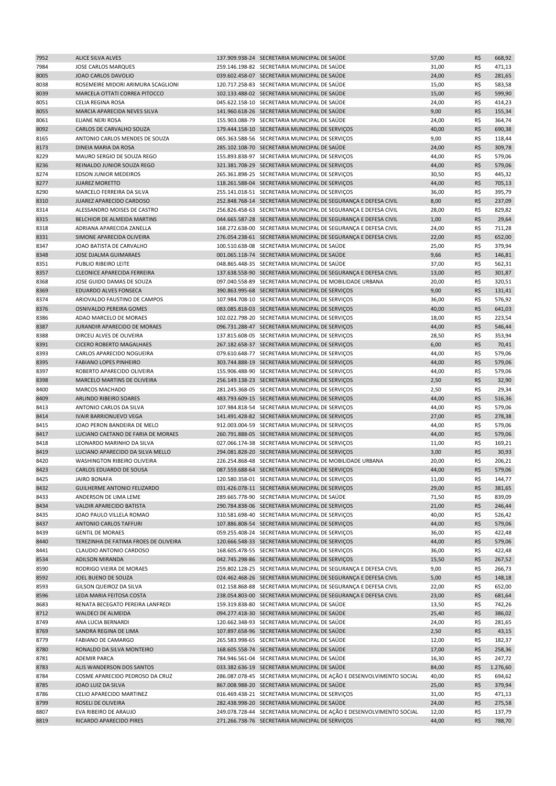| 7952 | ALICE SILVA ALVES                     | 137.909.938-24 SECRETARIA MUNICIPAL DE SAÚDE                         | 57,00 | R\$ | 668,92   |
|------|---------------------------------------|----------------------------------------------------------------------|-------|-----|----------|
| 7984 | <b>JOSE CARLOS MARQUES</b>            | 259.146.198-82 SECRETARIA MUNICIPAL DE SAÚDE                         | 31,00 | R\$ | 471,13   |
| 8005 | JOAO CARLOS DAVOLIO                   | 039.602.458-07 SECRETARIA MUNICIPAL DE SAÚDE                         | 24,00 | R\$ | 281,65   |
| 8038 | ROSEMEIRE MIDORI ARIMURA SCAGLIONI    | 120.717.258-83 SECRETARIA MUNICIPAL DE SAÚDE                         | 15,00 | R\$ | 583,58   |
| 8039 | MARCELA OTTATI CORREA PITOCCO         | 102.133.488-02 SECRETARIA MUNICIPAL DE SAÚDE                         | 15,00 | R\$ | 599,90   |
| 8051 | <b>CELIA REGINA ROSA</b>              | 045.622.158-10 SECRETARIA MUNICIPAL DE SAÚDE                         | 24,00 | R\$ | 414,23   |
| 8055 | MARCIA APARECIDA NEVES SILVA          | 141.960.618-26 SECRETARIA MUNICIPAL DE SAÚDE                         | 9,00  | R\$ | 155,34   |
| 8061 | ELIANE NERI ROSA                      | 155.903.088-79 SECRETARIA MUNICIPAL DE SAÚDE                         | 24,00 | R\$ | 364,74   |
| 8092 | CARLOS DE CARVALHO SOUZA              | 179.444.158-10 SECRETARIA MUNICIPAL DE SERVIÇOS                      | 40,00 | R\$ | 690,38   |
| 8165 | ANTONIO CARLOS MENDES DE SOUZA        | 065.363.588-56 SECRETARIA MUNICIPAL DE SERVIÇOS                      | 9,00  | R\$ | 118,44   |
| 8173 | DINEIA MARIA DA ROSA                  | 285.102.108-70 SECRETARIA MUNICIPAL DE SAÚDE                         | 24,00 | R\$ | 309,78   |
| 8229 | MAURO SERGIO DE SOUZA REGO            | 155.893.838-97 SECRETARIA MUNICIPAL DE SERVIÇOS                      | 44,00 | R\$ | 579,06   |
| 8236 | REINALDO JUNIOR SOUZA REGO            | 321.381.708-29 SECRETARIA MUNICIPAL DE SERVIÇOS                      | 44,00 | R\$ | 579,06   |
| 8274 | <b>EDSON JUNIOR MEDEIROS</b>          | 265.361.898-25 SECRETARIA MUNICIPAL DE SERVIÇOS                      | 30,50 | R\$ | 445,32   |
| 8277 | <b>JUAREZ MORETTO</b>                 | 118.261.588-04 SECRETARIA MUNICIPAL DE SERVIÇOS                      | 44,00 | R\$ | 705,13   |
| 8290 | MARCELO FERREIRA DA SILVA             | 255.141.018-51 SECRETARIA MUNICIPAL DE SERVIÇOS                      | 36,00 | R\$ | 395,79   |
|      |                                       |                                                                      |       | R\$ |          |
| 8310 | JUAREZ APARECIDO CARDOSO              | 252.848.768-14 SECRETARIA MUNICIPAL DE SEGURANÇA E DEFESA CIVIL      | 8,00  |     | 237,09   |
| 8314 | ALESSANDRO MOISES DE CASTRO           | 256.826.458-63 SECRETARIA MUNICIPAL DE SEGURANÇA E DEFESA CIVIL      | 28,00 | R\$ | 829,82   |
| 8315 | BELCHIOR DE ALMEIDA MARTINS           | 044.665.587-28 SECRETARIA MUNICIPAL DE SEGURANÇA E DEFESA CIVIL      | 1,00  | R\$ | 29,64    |
| 8318 | ADRIANA APARECIDA ZANELLA             | 168.272.638-00 SECRETARIA MUNICIPAL DE SEGURANÇA E DEFESA CIVIL      | 24,00 | R\$ | 711,28   |
| 8331 | SIMONE APARECIDA OLIVEIRA             | 276.054.238-61 SECRETARIA MUNICIPAL DE SEGURANÇA E DEFESA CIVIL      | 22,00 | R\$ | 652,00   |
| 8347 | JOAO BATISTA DE CARVALHO              | 100.510.638-08 SECRETARIA MUNICIPAL DE SAÚDE                         | 25,00 | R\$ | 379,94   |
| 8348 | JOSE DJALMA GUIMARAES                 | 001.065.118-74 SECRETARIA MUNICIPAL DE SAÚDE                         | 9,66  | R\$ | 146,81   |
| 8351 | PUBLIO RIBEIRO LEITE                  | 048.865.448-35 SECRETARIA MUNICIPAL DE SAÚDE                         | 37,00 | R\$ | 562,31   |
| 8357 | <b>CLEONICE APARECIDA FERREIRA</b>    | 137.638.558-90 SECRETARIA MUNICIPAL DE SEGURANÇA E DEFESA CIVIL      | 13,00 | R\$ | 301,87   |
| 8368 | JOSE GUIDO DAMAS DE SOUZA             | 097.040.558-89 SECRETARIA MUNICIPAL DE MOBILIDADE URBANA             | 20,00 | R\$ | 320,51   |
| 8369 | <b>EDUARDO ALVES FONSECA</b>          | 390.863.995-68 SECRETARIA MUNICIPAL DE SERVIÇOS                      | 9,00  | R\$ | 131,41   |
| 8374 | ARIOVALDO FAUSTINO DE CAMPOS          | 107.984.708-10 SECRETARIA MUNICIPAL DE SERVIÇOS                      | 36,00 | R\$ | 576,92   |
| 8376 | OSNIVALDO PEREIRA GOMES               | 083.085.818-03 SECRETARIA MUNICIPAL DE SERVIÇOS                      | 40,00 | R\$ | 641,03   |
| 8386 | ADAO MARCELO DE MORAES                | 102.022.798-20 SECRETARIA MUNICIPAL DE SERVIÇOS                      | 18,00 | R\$ | 223,54   |
| 8387 | JURANDIR APARECIDO DE MORAES          | 096.731.288-47 SECRETARIA MUNICIPAL DE SERVIÇOS                      | 44,00 | R\$ | 546,44   |
| 8388 | DIRCEU ALVES DE OLIVEIRA              | 137.815.608-05 SECRETARIA MUNICIPAL DE SERVIÇOS                      | 28,50 | R\$ | 353,94   |
| 8391 | <b>CICERO ROBERTO MAGALHAES</b>       | 267.182.658-37 SECRETARIA MUNICIPAL DE SERVIÇOS                      | 6,00  | R\$ | 70,41    |
| 8393 | CARLOS APARECIDO NOGUEIRA             | 079.610.648-77 SECRETARIA MUNICIPAL DE SERVIÇOS                      | 44,00 | R\$ | 579,06   |
| 8395 | <b>FABIANO LOPES PINHEIRO</b>         | 303.744.888-19 SECRETARIA MUNICIPAL DE SERVIÇOS                      | 44,00 | R\$ | 579,06   |
| 8397 | ROBERTO APARECIDO OLIVEIRA            | 155.906.488-90 SECRETARIA MUNICIPAL DE SERVIÇOS                      | 44,00 | R\$ | 579,06   |
| 8398 | MARCELO MARTINS DE OLIVEIRA           | 256.149.138-23 SECRETARIA MUNICIPAL DE SERVIÇOS                      | 2,50  | R\$ | 32,90    |
| 8400 | MARCOS MACHADO                        | 281.245.368-05 SECRETARIA MUNICIPAL DE SERVIÇOS                      | 2,50  | R\$ | 29,34    |
| 8409 | ARLINDO RIBEIRO SOARES                | 483.793.609-15 SECRETARIA MUNICIPAL DE SERVIÇOS                      | 44,00 | R\$ | 516,36   |
| 8413 | ANTONIO CARLOS DA SILVA               | 107.984.818-54 SECRETARIA MUNICIPAL DE SERVIÇOS                      | 44,00 | R\$ | 579,06   |
| 8414 | <b>IVAIR BARRIONUEVO VEGA</b>         | 141.491.428-82 SECRETARIA MUNICIPAL DE SERVIÇOS                      | 27,00 | R\$ | 278,38   |
|      | JOAO PERON BANDEIRA DE MELO           |                                                                      |       | R\$ |          |
| 8415 |                                       | 912.003.004-59 SECRETARIA MUNICIPAL DE SERVIÇOS                      | 44,00 |     | 579,06   |
| 8417 | LUCIANO CAETANO DE FARIA DE MORAES    | 260.791.888-05 SECRETARIA MUNICIPAL DE SERVIÇOS                      | 44,00 | R\$ | 579,06   |
| 8418 | LEONARDO MARINHO DA SILVA             | 027.066.174-38 SECRETARIA MUNICIPAL DE SERVIÇOS                      | 11,00 | R\$ | 169,21   |
| 8419 | LUCIANO APARECIDO DA SILVA MELLO      | 294.081.828-20 SECRETARIA MUNICIPAL DE SERVIÇOS                      | 3,00  | R\$ | 30,93    |
| 8420 | WASHINGTON RIBEIRO OLIVEIRA           | 226.254.868-48 SECRETARIA MUNICIPAL DE MOBILIDADE URBANA             | 20,00 | R\$ | 206,21   |
| 8423 | CARLOS EDUARDO DE SOUSA               | 087.559.688-64 SECRETARIA MUNICIPAL DE SERVIÇOS                      | 44,00 | R\$ | 579,06   |
| 8425 | <b>JAIRO BONAFA</b>                   | 120.580.358-01 SECRETARIA MUNICIPAL DE SERVIÇOS                      | 11,00 | R\$ | 144,77   |
| 8432 | GUILHERME ANTONIO FELIZARDO           | 031.426.078-11 SECRETARIA MUNICIPAL DE SERVIÇOS                      | 29,00 | R\$ | 381,65   |
| 8433 | ANDERSON DE LIMA LEME                 | 289.665.778-90 SECRETARIA MUNICIPAL DE SAÚDE                         | 71,50 | R\$ | 839,09   |
| 8434 | VALDIR APARECIDO BATISTA              | 290.784.838-06 SECRETARIA MUNICIPAL DE SERVIÇOS                      | 21,00 | R\$ | 246,44   |
| 8435 | JOAO PAULO VILLELA ROMAO              | 310.581.698-40 SECRETARIA MUNICIPAL DE SERVIÇOS                      | 40,00 | R\$ | 526,42   |
| 8437 | ANTONIO CARLOS TAFFURI                | 107.886.808-54 SECRETARIA MUNICIPAL DE SERVIÇOS                      | 44,00 | R\$ | 579,06   |
| 8439 | <b>GENTIL DE MORAES</b>               | 059.255.408-24 SECRETARIA MUNICIPAL DE SERVIÇOS                      | 36,00 | R\$ | 422,48   |
| 8440 | TEREZINHA DE FATIMA FROES DE OLIVEIRA | 120.666.548-33 SECRETARIA MUNICIPAL DE SERVIÇOS                      | 44,00 | R\$ | 579,06   |
| 8441 | CLAUDIO ANTONIO CARDOSO               | 168.605.478-55 SECRETARIA MUNICIPAL DE SERVIÇOS                      | 36,00 | R\$ | 422,48   |
| 8534 | ADILSON MIRANDA                       | 042.745.298-86 SECRETARIA MUNICIPAL DE SERVIÇOS                      | 15,50 | R\$ | 267,52   |
| 8590 | RODRIGO VIEIRA DE MORAES              | 259.802.128-25 SECRETARIA MUNICIPAL DE SEGURANÇA E DEFESA CIVIL      | 9,00  | R\$ | 266,73   |
| 8592 | JOEL BUENO DE SOUZA                   | 024.462.468-26 SECRETARIA MUNICIPAL DE SEGURANÇA E DEFESA CIVIL      | 5,00  | R\$ | 148,18   |
| 8593 | GILSON QUEIROZ DA SILVA               | 012.158.868-88 SECRETARIA MUNICIPAL DE SEGURANÇA E DEFESA CIVIL      | 22,00 | R\$ | 652,00   |
| 8596 | LEDA MARIA FEITOSA COSTA              | 238.054.803-00 SECRETARIA MUNICIPAL DE SEGURANÇA E DEFESA CIVIL      | 23,00 | R\$ | 681,64   |
| 8683 | RENATA BECEGATO PEREIRA LANFREDI      | 159.319.838-80 SECRETARIA MUNICIPAL DE SAÚDE                         | 13,50 | R\$ | 742,26   |
| 8712 | <b>WALDECI DE ALMEIDA</b>             | 094.277.418-30 SECRETARIA MUNICIPAL DE SAÚDE                         | 25,40 | R\$ | 386,02   |
| 8749 | ANA LUCIA BERNARDI                    | 120.662.348-93 SECRETARIA MUNICIPAL DE SAÚDE                         | 24,00 | R\$ | 281,65   |
| 8769 | SANDRA REGINA DE LIMA                 | 107.897.658-96 SECRETARIA MUNICIPAL DE SAÚDE                         | 2,50  | R\$ | 43,15    |
|      |                                       |                                                                      |       |     |          |
| 8779 | FABIANO DE CAMARGO                    | 265.583.998-65 SECRETARIA MUNICIPAL DE SAÚDE                         | 12,00 | R\$ | 182,37   |
| 8780 | RONALDO DA SILVA MONTEIRO             | 168.605.558-74 SECRETARIA MUNICIPAL DE SAÚDE                         | 17,00 | R\$ | 258,36   |
| 8781 | <b>ADEMIR PARCA</b>                   | 784.946.561-04 SECRETARIA MUNICIPAL DE SAÚDE                         | 16,30 | R\$ | 247,72   |
| 8783 | ALIS WANDERSON DOS SANTOS             | 033.382.636-19 SECRETARIA MUNICIPAL DE SAÚDE                         | 84,00 | R\$ | 1.276,60 |
| 8784 | COSME APARECIDO PEDROSO DA CRUZ       | 286.087.078-45 SECRETARIA MUNICIPAL DE AÇÃO E DESENVOLVIMENTO SOCIAL | 40,00 | R\$ | 694,62   |
| 8785 | JOAO LUIZ DA SILVA                    | 867.008.988-20 SECRETARIA MUNICIPAL DE SAÚDE                         | 25,00 | R\$ | 379,94   |
| 8786 | CELIO APARECIDO MARTINEZ              | 016.469.438-21 SECRETARIA MUNICIPAL DE SERVIÇOS                      | 31,00 | R\$ | 471,13   |
| 8799 | ROSELI DE OLIVEIRA                    | 282.438.998-20 SECRETARIA MUNICIPAL DE SAÚDE                         | 24,00 | R\$ | 275,58   |
| 8807 | EVA RIBEIRO DE ARAUJO                 | 249.078.728-44 SECRETARIA MUNICIPAL DE AÇÃO E DESENVOLVIMENTO SOCIAL | 12,00 | R\$ | 137,79   |
| 8819 | RICARDO APARECIDO PIRES               | 271.266.738-76 SECRETARIA MUNICIPAL DE SERVIÇOS                      | 44,00 | R\$ | 788,70   |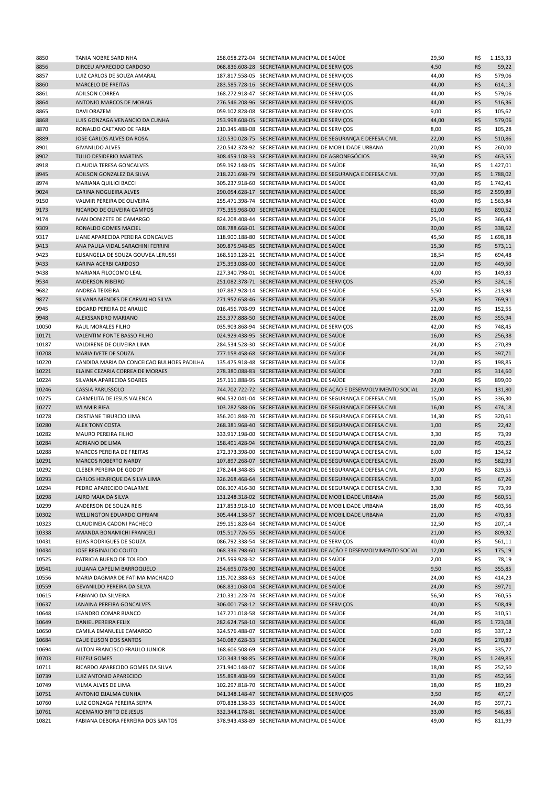| 8850           | <b>TANIA NOBRE SARDINHA</b>                              | 258.058.272-04 SECRETARIA MUNICIPAL DE SAÚDE                                                                            | 29,50        | R\$        | 1.153,33 |
|----------------|----------------------------------------------------------|-------------------------------------------------------------------------------------------------------------------------|--------------|------------|----------|
| 8856           | DIRCEU APARECIDO CARDOSO                                 | 068.836.608-28 SECRETARIA MUNICIPAL DE SERVIÇOS                                                                         | 4,50         | R\$        | 59,22    |
| 8857           | LUIZ CARLOS DE SOUZA AMARAL                              | 187.817.558-05 SECRETARIA MUNICIPAL DE SERVIÇOS                                                                         | 44,00        | R\$        | 579,06   |
| 8860           | MARCELO DE FREITAS                                       | 283.585.728-16 SECRETARIA MUNICIPAL DE SERVIÇOS                                                                         | 44,00        | R\$        | 614,13   |
| 8861           | <b>ADILSON CORREA</b>                                    | 168.272.918-47 SECRETARIA MUNICIPAL DE SERVIÇOS                                                                         | 44,00        | R\$        | 579,06   |
| 8864           | ANTONIO MARCOS DE MORAIS                                 | 276.546.208-96 SECRETARIA MUNICIPAL DE SERVIÇOS                                                                         | 44,00        | R\$        | 516,36   |
| 8865           | DAVI ORAZEM                                              | 059.102.828-08 SECRETARIA MUNICIPAL DE SERVIÇOS                                                                         | 9,00         | R\$        | 105,62   |
| 8868           | LUIS GONZAGA VENANCIO DA CUNHA                           | 253.998.608-05 SECRETARIA MUNICIPAL DE SERVIÇOS                                                                         | 44,00        | R\$        | 579,06   |
| 8870           | RONALDO CAETANO DE FARIA                                 | 210.345.488-08 SECRETARIA MUNICIPAL DE SERVIÇOS                                                                         | 8,00         | R\$        | 105,28   |
| 8889           | JOSE CARLOS ALVES DA ROSA                                | 120.530.028-75 SECRETARIA MUNICIPAL DE SEGURANÇA E DEFESA CIVIL                                                         | 22,00        | R\$        | 510,86   |
| 8901           | <b>GIVANILDO ALVES</b>                                   | 220.542.378-92 SECRETARIA MUNICIPAL DE MOBILIDADE URBANA                                                                | 20,00        | R\$        | 260,00   |
| 8902           | TULIO DESIDERIO MARTINS                                  | 308.459.108-33 SECRETARIA MUNICIPAL DE AGRONEGÓCIOS                                                                     | 39,50        | R\$        | 463,55   |
| 8918           | CLAUDIA TERESA GONCALVES                                 | 059.192.148-05 SECRETARIA MUNICIPAL DE SAÚDE                                                                            | 36,50        | R\$        | 1.427,01 |
| 8945           | ADILSON GONZALEZ DA SILVA                                | 218.221.698-79 SECRETARIA MUNICIPAL DE SEGURANÇA E DEFESA CIVIL                                                         | 77,00        | R\$        | 1.788,02 |
| 8974           | MARIANA QUILICI BACCI                                    | 305.237.918-60 SECRETARIA MUNICIPAL DE SAÚDE                                                                            | 43,00        | R\$        | 1.742,41 |
| 9024           | CARINA NOGUEIRA ALVES                                    | 290.054.628-17 SECRETARIA MUNICIPAL DE SAÚDE                                                                            | 66,50        | R\$        | 2.599,89 |
| 9150           | VALMIR PEREIRA DE OLIVEIRA                               | 255.471.398-74 SECRETARIA MUNICIPAL DE SAÚDE                                                                            | 40,00        | R\$        | 1.563,84 |
| 9173           | RICARDO DE OLIVEIRA CAMPOS                               | 775.355.968-00 SECRETARIA MUNICIPAL DE SAÚDE                                                                            | 61,00        | R\$        | 890,52   |
| 9174           | IVAN DONIZETE DE CAMARGO                                 | 824.208.408-44 SECRETARIA MUNICIPAL DE SAÚDE                                                                            | 25,10        | R\$        | 366,43   |
| 9309           | RONALDO GOMES MACIEL                                     | 038.788.668-01 SECRETARIA MUNICIPAL DE SAÚDE                                                                            | 30,00        | R\$        | 338,62   |
| 9317           | LIANE APARECIDA PEREIRA GONCALVES                        | 118.900.188-80 SECRETARIA MUNICIPAL DE SAÚDE                                                                            | 45,50        | R\$        | 1.698,38 |
| 9413           | ANA PAULA VIDAL SARACHINI FERRINI                        | 309.875.948-85 SECRETARIA MUNICIPAL DE SAÚDE                                                                            | 15,30        | R\$        | 573,11   |
| 9423           | ELISANGELA DE SOUZA GOUVEA LERUSSI                       | 168.519.128-21 SECRETARIA MUNICIPAL DE SAÚDE                                                                            | 18,54        | R\$        | 694,48   |
| 9433           | KARINA ACERBI CARDOSO                                    | 275.393.088-00 SECRETARIA MUNICIPAL DE SAÚDE                                                                            | 12,00        | R\$        | 449,50   |
| 9438           | MARIANA FILOCOMO LEAL                                    | 227.340.798-01 SECRETARIA MUNICIPAL DE SAÚDE                                                                            | 4,00         | R\$        | 149,83   |
| 9534           | <b>ANDERSON RIBEIRO</b>                                  | 251.082.378-71 SECRETARIA MUNICIPAL DE SERVIÇOS                                                                         | 25,50        | R\$        | 324,16   |
| 9682           | <b>ANDREA TEIXEIRA</b>                                   | 107.887.928-14 SECRETARIA MUNICIPAL DE SAÚDE                                                                            | 5,50         | R\$        | 213,98   |
| 9877           | SILVANA MENDES DE CARVALHO SILVA                         | 271.952.658-46 SECRETARIA MUNICIPAL DE SAÚDE                                                                            | 25,30        | R\$        | 769,91   |
| 9945           | EDGARD PEREIRA DE ARAUJO                                 | 016.456.708-99 SECRETARIA MUNICIPAL DE SAÚDE                                                                            | 12,00        | R\$        | 152,55   |
| 9948           | ALEXSSANDRO MARIANO                                      | 253.377.888-50 SECRETARIA MUNICIPAL DE SAÚDE                                                                            | 28,00        | R\$        | 355,94   |
| 10050          | RAUL MORALES FILHO                                       | 035.903.868-94 SECRETARIA MUNICIPAL DE SERVIÇOS                                                                         | 42,00        | R\$        | 748,45   |
| 10171          | VALENTIM FONTE BASSO FILHO                               | 024.929.438-95 SECRETARIA MUNICIPAL DE SAÚDE                                                                            | 16,00        | R\$        | 256,38   |
| 10187          | VALDIRENE DE OLIVEIRA LIMA                               | 284.534.528-30 SECRETARIA MUNICIPAL DE SAÚDE                                                                            | 24,00        | R\$        | 270,89   |
| 10208          | MARIA IVETE DE SOUZA                                     | 777.158.458-68 SECRETARIA MUNICIPAL DE SAÚDE                                                                            | 24,00        | R\$        | 397,71   |
| 10220          | CANDIDA MARIA DA CONCEICAO BULHOES PADILHA               | 135.475.918-48 SECRETARIA MUNICIPAL DE SAÚDE                                                                            | 12,00        | R\$        | 198,85   |
| 10221          | ELAINE CEZARIA CORREA DE MORAES                          | 278.380.088-83 SECRETARIA MUNICIPAL DE SAÚDE                                                                            | 7,00         | R\$        | 314,60   |
| 10224          | SILVANA APARECIDA SOARES                                 | 257.111.888-95 SECRETARIA MUNICIPAL DE SAÚDE                                                                            | 24,00        | R\$        | 899,00   |
| 10246          | <b>CASSIA PARUSSOLO</b>                                  | 744.702.722-72 SECRETARIA MUNICIPAL DE AÇÃO E DESENVOLVIMENTO SOCIAL                                                    | 12,00        | R\$        | 131,80   |
| 10275          | CARMELITA DE JESUS VALENCA                               | 904.532.041-04 SECRETARIA MUNICIPAL DE SEGURANÇA E DEFESA CIVIL                                                         | 15,00        | R\$        | 336,30   |
| 10277          | <b>WLAMIR RIFA</b>                                       | 103.282.588-06 SECRETARIA MUNICIPAL DE SEGURANÇA E DEFESA CIVIL                                                         | 16,00        | R\$        | 474,18   |
| 10278          | <b>CRISTIANE TIBURCIO LIMA</b>                           | 356.201.848-70 SECRETARIA MUNICIPAL DE SEGURANÇA E DEFESA CIVIL                                                         | 14,30        | R\$        | 320,61   |
| 10280          | <b>ALEX TONY COSTA</b>                                   | 268.381.968-40 SECRETARIA MUNICIPAL DE SEGURANÇA E DEFESA CIVIL                                                         | 1,00         | R\$        | 22,42    |
| 10282          | <b>MAURO PEREIRA FILHO</b>                               | 333.917.198-00 SECRETARIA MUNICIPAL DE SEGURANÇA E DEFESA CIVIL                                                         | 3,30         | R\$        | 73,99    |
| 10284          | ADRIANO DE LIMA                                          | 158.491.428-94 SECRETARIA MUNICIPAL DE SEGURANÇA E DEFESA CIVIL                                                         | 22,00        | R\$        | 493,25   |
| 10288          | MARCOS PEREIRA DE FREITAS                                | 272.373.398-00 SECRETARIA MUNICIPAL DE SEGURANÇA E DEFESA CIVIL                                                         | 6,00         | R\$        | 134,52   |
| 10291          | <b>MARCOS ROBERTO NARDY</b>                              | 107.897.268-07 SECRETARIA MUNICIPAL DE SEGURANÇA E DEFESA CIVIL                                                         | 26,00        | R\$        | 582,93   |
| 10292          | CLEBER PEREIRA DE GODOY                                  | 278.244.348-85 SECRETARIA MUNICIPAL DE SEGURANÇA E DEFESA CIVIL                                                         | 37,00        | R\$        | 829,55   |
|                |                                                          | 326.268.468-64 SECRETARIA MUNICIPAL DE SEGURANÇA E DEFESA CIVIL                                                         |              | R\$        |          |
| 10293<br>10294 | CARLOS HENRIQUE DA SILVA LIMA<br>PEDRO APARECIDO DALARME | 036.307.416-30 SECRETARIA MUNICIPAL DE SEGURANÇA E DEFESA CIVIL                                                         | 3,00<br>3,30 | R\$        | 67,26    |
|                |                                                          |                                                                                                                         |              |            | 73,99    |
| 10298          | JAIRO MAIA DA SILVA                                      | 131.248.318-02 SECRETARIA MUNICIPAL DE MOBILIDADE URBANA                                                                | 25,00        | R\$        | 560,51   |
| 10299          | ANDERSON DE SOUZA REIS                                   | 217.853.918-10 SECRETARIA MUNICIPAL DE MOBILIDADE URBANA                                                                | 18,00        | R\$<br>R\$ | 403,56   |
| 10302          | <b>WELLINGTON EDUARDO CIPRIANI</b>                       | 305.444.138-57 SECRETARIA MUNICIPAL DE MOBILIDADE URBANA                                                                | 21,00        |            | 470,83   |
| 10323          | CLAUDINEIA CADONI PACHECO                                | 299.151.828-64 SECRETARIA MUNICIPAL DE SAÚDE                                                                            | 12,50        | R\$        | 207,14   |
| 10338          | AMANDA BONAMICHI FRANCELI                                | 015.517.726-55 SECRETARIA MUNICIPAL DE SAÚDE                                                                            | 21,00        | R\$        | 809,32   |
| 10431          | ELIAS RODRIGUES DE SOUZA                                 | 086.792.338-54 SECRETARIA MUNICIPAL DE SERVIÇOS<br>068.336.798-60 SECRETARIA MUNICIPAL DE AÇÃO E DESENVOLVIMENTO SOCIAL | 40,00        | R\$        | 561,11   |
| 10434          | JOSE REGINALDO COUTO                                     |                                                                                                                         | 12,00        | R\$        | 175,19   |
| 10525          | PATRICIA BUENO DE TOLEDO                                 | 215.599.928-32 SECRETARIA MUNICIPAL DE SAÚDE                                                                            | 2,00         | R\$        | 78,19    |
| 10541          | JULIANA CAPELIM BARROQUELO                               | 254.695.078-90 SECRETARIA MUNICIPAL DE SAÚDE                                                                            | 9,50         | R\$        | 355,85   |
| 10556          | MARIA DAGMAR DE FATIMA MACHADO                           | 115.702.388-63 SECRETARIA MUNICIPAL DE SAÚDE                                                                            | 24,00        | R\$        | 414,23   |
| 10559          | GEVANILDO PEREIRA DA SILVA                               | 068.831.068-04 SECRETARIA MUNICIPAL DE SAÚDE                                                                            | 24,00        | R\$        | 397,71   |
| 10615          | FABIANO DA SILVEIRA                                      | 210.331.228-74 SECRETARIA MUNICIPAL DE SAÚDE                                                                            | 56,50        | R\$        | 760,55   |
| 10637          | JANAINA PEREIRA GONCALVES                                | 306.001.758-12 SECRETARIA MUNICIPAL DE SERVIÇOS                                                                         | 40,00        | R\$        | 508,49   |
| 10648          | LEANDRO COMAR BIANCO                                     | 147.271.018-58 SECRETARIA MUNICIPAL DE SAÚDE                                                                            | 24,00        | R\$        | 310,51   |
| 10649          | DANIEL PEREIRA FELIX                                     | 282.624.758-10 SECRETARIA MUNICIPAL DE SAÚDE                                                                            | 46,00        | R\$        | 1.723,08 |
| 10650          | CAMILA EMANUELE CAMARGO                                  | 324.576.488-07 SECRETARIA MUNICIPAL DE SAÚDE                                                                            | 9,00         | R\$        | 337,12   |
| 10684          | CAUE ELISON DOS SANTOS                                   | 340.087.628-33 SECRETARIA MUNICIPAL DE SAÚDE                                                                            | 24,00        | R\$        | 270,89   |
| 10694          | AILTON FRANCISCO FRAULO JUNIOR                           | 168.606.508-69 SECRETARIA MUNICIPAL DE SAÚDE                                                                            | 23,00        | R\$        | 335,77   |
| 10703          | <b>ELIZEU GOMES</b>                                      | 120.343.198-85 SECRETARIA MUNICIPAL DE SAÚDE                                                                            | 78,00        | R\$        | 1.249,85 |
| 10711          | RICARDO APARECIDO GOMES DA SILVA                         | 271.940.148-07 SECRETARIA MUNICIPAL DE SAÚDE                                                                            | 18,00        | R\$        | 252,50   |
| 10739          | LUIZ ANTONIO APARECIDO                                   | 155.898.408-99 SECRETARIA MUNICIPAL DE SAÚDE                                                                            | 31,00        | R\$        | 452,56   |
| 10749          | VILMA ALVES DE LIMA                                      | 102.297.818-70 SECRETARIA MUNICIPAL DE SAÚDE                                                                            | 18,00        | R\$        | 189,29   |
| 10751          | ANTONIO DJALMA CUNHA                                     | 041.348.148-47 SECRETARIA MUNICIPAL DE SERVIÇOS                                                                         | 3,50         | R\$        | 47,17    |
| 10760          | LUIZ GONZAGA PEREIRA SERPA                               | 070.838.138-33 SECRETARIA MUNICIPAL DE SAÚDE                                                                            | 24,00        | R\$        | 397,71   |
| 10761          | ADEMARIO BRITO DE JESUS                                  | 332.344.178-81 SECRETARIA MUNICIPAL DE SAÚDE                                                                            | 33,00        | R\$        | 546,85   |
| 10821          | FABIANA DEBORA FERREIRA DOS SANTOS                       | 378.943.438-89 SECRETARIA MUNICIPAL DE SAÚDE                                                                            | 49,00        | R\$        | 811,99   |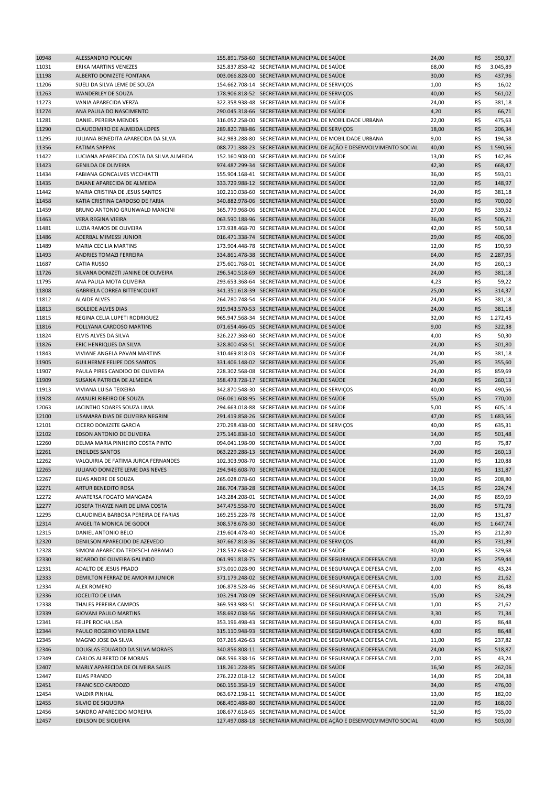| 10948          | ALESSANDRO POLICAN                                      | 155.891.758-60 SECRETARIA MUNICIPAL DE SAÚDE                                                 | 24,00          | R\$        | 350,37   |
|----------------|---------------------------------------------------------|----------------------------------------------------------------------------------------------|----------------|------------|----------|
| 11031          | ERIKA MARTINS VENEZES                                   | 325.837.858-42 SECRETARIA MUNICIPAL DE SAÚDE                                                 | 68,00          | R\$        | 3.045,89 |
| 11198          | ALBERTO DONIZETE FONTANA                                | 003.066.828-00 SECRETARIA MUNICIPAL DE SAÚDE                                                 | 30,00          | R\$        | 437,96   |
| 11206          | SUELI DA SILVA LEME DE SOUZA                            | 154.662.708-14 SECRETARIA MUNICIPAL DE SERVIÇOS                                              | 1,00           | R\$        | 16,02    |
| 11263          | <b>WANDERLEY DE SOUZA</b>                               | 178.906.818-52 SECRETARIA MUNICIPAL DE SERVIÇOS                                              | 40,00          | R\$        | 561,02   |
| 11273          | VANIA APARECIDA VERZA                                   | 322.358.938-48 SECRETARIA MUNICIPAL DE SAÚDE                                                 | 24,00          | R\$        | 381,18   |
| 11274          | ANA PAULA DO NASCIMENTO                                 | 290.045.318-66 SECRETARIA MUNICIPAL DE SAÚDE                                                 | 4,20           | R\$        | 66,71    |
| 11281          | <b>DANIEL PEREIRA MENDES</b>                            | 316.052.258-00 SECRETARIA MUNICIPAL DE MOBILIDADE URBANA                                     | 22,00          | R\$        | 475,63   |
| 11290          | CLAUDOMIRO DE ALMEIDA LOPES                             | 289.820.788-86 SECRETARIA MUNICIPAL DE SERVIÇOS                                              | 18,00          | R\$        | 206,34   |
| 11295          | JULIANA BENEDITA APARECIDA DA SILVA                     | 342.983.288-80 SECRETARIA MUNICIPAL DE MOBILIDADE URBANA                                     | 9,00           | R\$        | 194,58   |
| 11356          | <b>FATIMA SAPPAK</b>                                    | 088.771.388-23 SECRETARIA MUNICIPAL DE AÇÃO E DESENVOLVIMENTO SOCIAL                         | 40,00          | R\$        | 1.590,56 |
| 11422          | LUCIANA APARECIDA COSTA DA SILVA ALMEIDA                | 152.160.908-00 SECRETARIA MUNICIPAL DE SAÚDE                                                 | 13,00          | R\$        | 142,86   |
| 11423          | <b>GENILDA DE OLIVEIRA</b>                              | 974.487.299-34 SECRETARIA MUNICIPAL DE SAÚDE                                                 | 42,30          | R\$        | 668,47   |
| 11434          | FABIANA GONCALVES VICCHIATTI                            | 155.904.168-41 SECRETARIA MUNICIPAL DE SAÚDE                                                 | 36,00          | R\$        | 593,01   |
| 11435          | DAIANE APARECIDA DE ALMEIDA                             | 333.729.988-12 SECRETARIA MUNICIPAL DE SAÚDE                                                 | 12,00          | R\$        | 148,97   |
| 11442          | MARIA CRISTINA DE JESUS SANTOS                          | 102.210.038-60 SECRETARIA MUNICIPAL DE SAÚDE                                                 | 24,00          | R\$        | 381,18   |
| 11458          | KATIA CRISTINA CARDOSO DE FARIA                         | 340.882.978-06 SECRETARIA MUNICIPAL DE SAÚDE                                                 | 50,00          | R\$        | 700,00   |
| 11459          | BRUNO ANTONIO GRUNWALD MANCINI                          | 365.779.968-06 SECRETARIA MUNICIPAL DE SAÚDE                                                 | 27,00          | R\$        | 339,52   |
| 11463          | VERA REGINA VIEIRA                                      | 063.590.188-96 SECRETARIA MUNICIPAL DE SAÚDE                                                 | 36,00          | R\$        | 506,21   |
| 11481          | LUZIA RAMOS DE OLIVEIRA                                 | 173.938.468-70 SECRETARIA MUNICIPAL DE SAÚDE                                                 | 42,00          | R\$        | 590,58   |
| 11486          | ADERBAL MIMESSI JUNIOR                                  | 016.471.338-74 SECRETARIA MUNICIPAL DE SAÚDE                                                 | 29,00          | R\$        | 406,00   |
| 11489          | <b>MARIA CECILIA MARTINS</b>                            | 173.904.448-78 SECRETARIA MUNICIPAL DE SAÚDE                                                 | 12,00          | R\$        | 190,59   |
| 11493          | ANDRIES TOMAZI FERREIRA                                 | 334.861.478-38 SECRETARIA MUNICIPAL DE SAÚDE                                                 | 64,00          | R\$        | 2.287,95 |
| 11687          | <b>CATIA RUSSO</b>                                      | 275.601.768-01 SECRETARIA MUNICIPAL DE SAÚDE                                                 | 24,00          | R\$        | 260,13   |
| 11726          | SILVANA DONIZETI JANINE DE OLIVEIRA                     | 296.540.518-69 SECRETARIA MUNICIPAL DE SAÚDE                                                 | 24,00          | R\$        | 381,18   |
| 11795          | ANA PAULA MOTA OLIVEIRA                                 | 293.653.368-64 SECRETARIA MUNICIPAL DE SAÚDE                                                 | 4,23           | R\$        | 59,22    |
| 11808          | <b>GABRIELA CORREA BITTENCOURT</b>                      | 341.351.618-39 SECRETARIA MUNICIPAL DE SAÚDE                                                 | 25,00          | R\$        | 314,37   |
| 11812          | <b>ALAIDE ALVES</b>                                     | 264.780.748-54 SECRETARIA MUNICIPAL DE SAÚDE                                                 | 24,00          | R\$        | 381,18   |
| 11813          | <b>ISOLEIDE ALVES DIAS</b>                              | 919.943.570-53 SECRETARIA MUNICIPAL DE SAÚDE                                                 | 24,00          | R\$        | 381,18   |
| 11815          | REGINA CELIA LUPETI RODRIGUEZ                           | 965.947.568-34 SECRETARIA MUNICIPAL DE SAÚDE                                                 | 32,00          | R\$        | 1.272,45 |
| 11816          | POLLYANA CARDOSO MARTINS                                | 071.654.466-05 SECRETARIA MUNICIPAL DE SAÚDE                                                 | 9,00           | R\$        | 322,38   |
| 11824          | ELVIS ALVES DA SILVA                                    | 326.227.368-60 SECRETARIA MUNICIPAL DE SAÚDE                                                 | 4,00           | R\$        | 50,30    |
| 11826          | ERIC HENRIQUES DA SILVA                                 | 328.800.458-51 SECRETARIA MUNICIPAL DE SAÚDE                                                 | 24,00          | R\$        | 301,80   |
| 11843          | VIVIANE ANGELA PAVAN MARTINS                            | 310.469.818-03 SECRETARIA MUNICIPAL DE SAÚDE                                                 | 24,00          | R\$        | 381,18   |
| 11905          | <b>GUILHERME FELIPE DOS SANTOS</b>                      | 331.406.148-02 SECRETARIA MUNICIPAL DE SAÚDE                                                 | 25,40          | R\$        | 355,60   |
| 11907          | PAULA PIRES CANDIDO DE OLIVEIRA                         | 228.302.568-08 SECRETARIA MUNICIPAL DE SAÚDE                                                 | 24,00          | R\$        | 859,69   |
| 11909          | SUSANA PATRICIA DE ALMEIDA                              | 358.473.728-17 SECRETARIA MUNICIPAL DE SAÚDE                                                 | 24,00          | R\$        | 260,13   |
| 11913          | VIVIANA LUISA TEIXEIRA                                  | 342.870.548-30 SECRETARIA MUNICIPAL DE SERVIÇOS                                              | 40,00          | R\$        | 490,56   |
| 11928          | AMAURI RIBEIRO DE SOUZA                                 | 036.061.608-95 SECRETARIA MUNICIPAL DE SAÚDE                                                 | 55,00          | R\$        | 770,00   |
| 12063          | JACINTHO SOARES SOUZA LIMA                              | 294.663.018-88 SECRETARIA MUNICIPAL DE SAÚDE                                                 | 5,00           | R\$        | 605,14   |
| 12100          | LISAMARA DIAS DE OLIVEIRA NEGRINI                       | 291.419.858-26 SECRETARIA MUNICIPAL DE SAÚDE                                                 | 47,00          | R\$        | 1.683,56 |
| 12101          | <b>CICERO DONIZETE GARCIA</b>                           | 270.298.438-00 SECRETARIA MUNICIPAL DE SERVIÇOS                                              | 40,00          | R\$        | 635,31   |
| 12102          | <b>EDSON ANTONIO DE OLIVEIRA</b>                        | 275.146.838-10 SECRETARIA MUNICIPAL DE SAÚDE                                                 | 14,00          | R\$        | 501,48   |
| 12260          | DELMA MARIA PINHEIRO COSTA PINTO                        | 094.041.198-90 SECRETARIA MUNICIPAL DE SAÚDE                                                 | 7,00           | R\$        | 75,87    |
| 12261          | <b>ENEILDES SANTOS</b>                                  | 063.229.288-13 SECRETARIA MUNICIPAL DE SAÚDE                                                 | 24,00          | R\$        | 260,13   |
| 12262          | VALQUIRIA DE FATIMA JURCA FERNANDES                     | 102.303.908-70 SECRETARIA MUNICIPAL DE SAÚDE                                                 | 11,00          | R\$        | 120,88   |
|                |                                                         |                                                                                              | 12,00          | R\$        | 131,87   |
| 12265<br>12267 | JULIANO DONIZETE LEME DAS NEVES<br>ELIAS ANDRE DE SOUZA | 294.946.608-70 SECRETARIA MUNICIPAL DE SAÚDE<br>265.028.078-60 SECRETARIA MUNICIPAL DE SAÚDE | 19,00          | R\$        |          |
| 12271          | ARTUR BENEDITO ROSA                                     |                                                                                              |                | R\$        | 208,80   |
|                | ANATERSA FOGATO MANGABA                                 | 286.704.738-28 SECRETARIA MUNICIPAL DE SAÚDE<br>143.284.208-01 SECRETARIA MUNICIPAL DE SAÚDE | 14,15          |            | 224,74   |
| 12272<br>12277 | JOSEFA THAYZE NAIR DE LIMA COSTA                        | 347.475.558-70 SECRETARIA MUNICIPAL DE SAÚDE                                                 | 24,00<br>36,00 | R\$<br>R\$ | 859,69   |
|                |                                                         |                                                                                              |                |            | 571,78   |
| 12295          | CLAUDINEIA BARBOSA PEREIRA DE FARIAS                    | 169.255.228-78 SECRETARIA MUNICIPAL DE SAÚDE                                                 | 12,00          | R\$        | 131,87   |
| 12314          | ANGELITA MONICA DE GODOI                                | 308.578.678-30 SECRETARIA MUNICIPAL DE SAÚDE                                                 | 46,00          | R\$        | 1.647,74 |
| 12315          | DANIEL ANTONIO BELO                                     | 219.604.478-40 SECRETARIA MUNICIPAL DE SAÚDE                                                 | 15,20          | R\$        | 212,80   |
| 12320          | DENILSON APARECIDO DE AZEVEDO                           | 307.667.818-36 SECRETARIA MUNICIPAL DE SERVIÇOS                                              | 44,00          | R\$        | 731,39   |
| 12328          | SIMONI APARECIDA TEDESCHI ABRAMO                        | 218.532.638-42 SECRETARIA MUNICIPAL DE SAÚDE                                                 | 30,00          | R\$        | 329,68   |
| 12330          | RICARDO DE OLIVEIRA GALINDO                             | 061.991.818-75 SECRETARIA MUNICIPAL DE SEGURANÇA E DEFESA CIVIL                              | 12,00          | R\$        | 259,44   |
| 12331          | ADALTO DE JESUS PRADO                                   | 373.010.028-90 SECRETARIA MUNICIPAL DE SEGURANÇA E DEFESA CIVIL                              | 2,00           | R\$        | 43,24    |
| 12333          | DEMILTON FERRAZ DE AMORIM JUNIOR                        | 371.179.248-02 SECRETARIA MUNICIPAL DE SEGURANÇA E DEFESA CIVIL                              | 1,00           | R\$        | 21,62    |
| 12334          | <b>ALEX ROMERO</b>                                      | 106.878.528-46 SECRETARIA MUNICIPAL DE SEGURANÇA E DEFESA CIVIL                              | 4,00           | R\$        | 86,48    |
| 12336          | JOCELITO DE LIMA                                        | 103.294.708-09 SECRETARIA MUNICIPAL DE SEGURANÇA E DEFESA CIVIL                              | 15,00          | R\$        | 324,29   |
| 12338          | THALES PEREIRA CAMPOS                                   | 369.593.988-51 SECRETARIA MUNICIPAL DE SEGURANÇA E DEFESA CIVIL                              | 1,00           | R\$        | 21,62    |
| 12339          | <b>GIOVANI PAULO MARTINS</b>                            | 358.692.038-56 SECRETARIA MUNICIPAL DE SEGURANÇA E DEFESA CIVIL                              | 3,30           | R\$        | 71,34    |
| 12341          | FELIPE ROCHA LISA                                       | 353.196.498-43 SECRETARIA MUNICIPAL DE SEGURANÇA E DEFESA CIVIL                              | 4,00           | R\$        | 86,48    |
| 12344          | PAULO ROGERIO VIEIRA LEME                               | 315.110.948-93 SECRETARIA MUNICIPAL DE SEGURANÇA E DEFESA CIVIL                              | 4,00           | R\$        | 86,48    |
| 12345          | MAGNO JOSE DA SILVA                                     | 037.265.426-63 SECRETARIA MUNICIPAL DE SEGURANÇA E DEFESA CIVIL                              | 11,00          | R\$        | 237,82   |
| 12346          | DOUGLAS EDUARDO DA SILVA MORAES                         | 340.856.808-11 SECRETARIA MUNICIPAL DE SEGURANÇA E DEFESA CIVIL                              | 24,00          | R\$        | 518,87   |
| 12349          | CARLOS ALBERTO DE MORAIS                                | 068.596.338-16 SECRETARIA MUNICIPAL DE SEGURANÇA E DEFESA CIVIL                              | 2,00           | R\$        | 43,24    |
| 12407          | MARLY APARECIDA DE OLIVEIRA SALES                       | 118.261.228-85 SECRETARIA MUNICIPAL DE SAÚDE                                                 | 16,50          | R\$        | 262,06   |
| 12447          | <b>ELIAS PRANDO</b>                                     | 276.222.018-12 SECRETARIA MUNICIPAL DE SAÚDE                                                 | 14,00          | R\$        | 204,38   |
| 12451          | <b>FRANCISCO CARDOZO</b>                                | 060.156.358-19 SECRETARIA MUNICIPAL DE SAÚDE                                                 | 34,00          | R\$        | 476,00   |
| 12454          | <b>VALDIR PINHAL</b>                                    | 063.672.198-11 SECRETARIA MUNICIPAL DE SAÚDE                                                 | 13,00          | R\$        | 182,00   |
| 12455          | SILVIO DE SIQUEIRA                                      | 068.490.488-80 SECRETARIA MUNICIPAL DE SAÚDE                                                 | 12,00          | R\$        | 168,00   |
| 12456          | SANDRO APARECIDO MOREIRA                                | 108.677.618-65 SECRETARIA MUNICIPAL DE SAÚDE                                                 | 52,50          | R\$        | 735,00   |
| 12457          | EDILSON DE SIQUEIRA                                     | 127.497.088-18 SECRETARIA MUNICIPAL DE AÇÃO E DESENVOLVIMENTO SOCIAL                         | 40,00          | R\$        | 503,00   |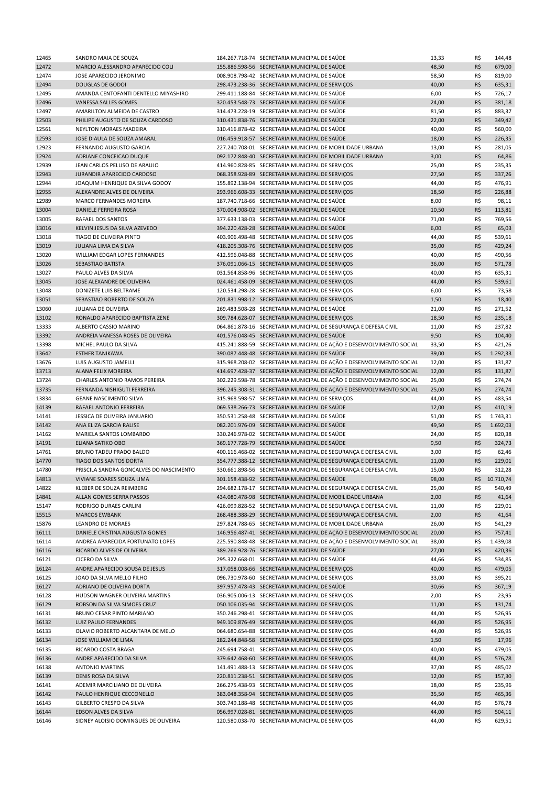| 12465 | SANDRO MAIA DE SOUZA                    | 184.267.718-74 SECRETARIA MUNICIPAL DE SAÚDE                         | 13,33 | R\$ | 144,48    |
|-------|-----------------------------------------|----------------------------------------------------------------------|-------|-----|-----------|
| 12472 | MARCIO ALESSANDRO APARECIDO COLI        | 155.886.598-56 SECRETARIA MUNICIPAL DE SAÚDE                         | 48,50 | R\$ | 679,00    |
| 12474 | JOSE APARECIDO JERONIMO                 | 008.908.798-42 SECRETARIA MUNICIPAL DE SAÚDE                         | 58,50 | R\$ | 819,00    |
| 12494 | <b>DOUGLAS DE GODOI</b>                 | 298.473.238-36 SECRETARIA MUNICIPAL DE SERVIÇOS                      | 40,00 | R\$ | 635,31    |
| 12495 | AMANDA CENTOFANTI DENTELLO MIYASHIRO    | 299.411.188-84 SECRETARIA MUNICIPAL DE SAÚDE                         | 6,00  | R\$ | 726,17    |
| 12496 | <b>VANESSA SALLES GOMES</b>             | 320.453.548-73 SECRETARIA MUNICIPAL DE SAÚDE                         | 24,00 | R\$ | 381,18    |
| 12497 | AMARILTON ALMEIDA DE CASTRO             | 314.473.228-19 SECRETARIA MUNICIPAL DE SAÚDE                         | 81,50 | R\$ | 883,37    |
| 12503 | PHILIPE AUGUSTO DE SOUZA CARDOSO        | 310.431.838-76 SECRETARIA MUNICIPAL DE SAÚDE                         | 22,00 | R\$ | 349,42    |
| 12561 | NEYLTON MORAES MADEIRA                  | 310.416.878-42 SECRETARIA MUNICIPAL DE SAÚDE                         | 40,00 | R\$ | 560,00    |
| 12593 | JOSE DIAULA DE SOUZA AMARAL             | 016.459.918-57 SECRETARIA MUNICIPAL DE SAÚDE                         | 18,00 | R\$ | 226,35    |
| 12923 | FERNANDO AUGUSTO GARCIA                 | 227.240.708-01 SECRETARIA MUNICIPAL DE MOBILIDADE URBANA             | 13,00 | R\$ | 281,05    |
| 12924 | ADRIANE CONCEICAO DUQUE                 | 092.172.848-40 SECRETARIA MUNICIPAL DE MOBILIDADE URBANA             | 3,00  | R\$ | 64,86     |
| 12939 | JEAN CARLOS PELUSO DE ARAUJO            | 414.960.828-85 SECRETARIA MUNICIPAL DE SERVIÇOS                      | 25,00 | R\$ | 235,35    |
| 12943 | <b>JURANDIR APARECIDO CARDOSO</b>       | 068.358.928-89 SECRETARIA MUNICIPAL DE SERVIÇOS                      | 27,50 | R\$ | 337,26    |
| 12944 | JOAQUIM HENRIQUE DA SILVA GODOY         | 155.892.138-94 SECRETARIA MUNICIPAL DE SERVIÇOS                      | 44,00 | R\$ | 476,91    |
| 12955 | ALEXANDRE ALVES DE OLIVEIRA             | 293.966.608-33 SECRETARIA MUNICIPAL DE SERVIÇOS                      | 18,50 | R\$ | 226,88    |
| 12989 | <b>MARCO FERNANDES MOREIRA</b>          | 187.740.718-66 SECRETARIA MUNICIPAL DE SAÚDE                         | 8,00  | R\$ | 98,11     |
| 13004 | DANIELE FERREIRA ROSA                   | 370.004.908-02 SECRETARIA MUNICIPAL DE SAÚDE                         | 10,50 | R\$ | 113,81    |
| 13005 | RAFAEL DOS SANTOS                       | 377.633.138-03 SECRETARIA MUNICIPAL DE SAÚDE                         | 71,00 | R\$ | 769,56    |
| 13016 | KELVIN JESUS DA SILVA AZEVEDO           | 394.220.428-28 SECRETARIA MUNICIPAL DE SAÚDE                         | 6,00  | R\$ | 65,03     |
| 13018 | TIAGO DE OLIVEIRA PINTO                 | 403.906.498-48 SECRETARIA MUNICIPAL DE SERVIÇOS                      | 44,00 | R\$ | 539,61    |
| 13019 | JULIANA LIMA DA SILVA                   | 418.205.308-76 SECRETARIA MUNICIPAL DE SERVIÇOS                      | 35,00 | R\$ | 429,24    |
| 13020 | WILLIAM EDGAR LOPES FERNANDES           | 412.596.048-88 SECRETARIA MUNICIPAL DE SERVIÇOS                      | 40,00 | R\$ | 490,56    |
| 13026 | SEBASTIAO BATISTA                       | 376.091.066-15 SECRETARIA MUNICIPAL DE SERVIÇOS                      | 36,00 | R\$ | 571,78    |
| 13027 | PAULO ALVES DA SILVA                    | 031.564.858-96 SECRETARIA MUNICIPAL DE SERVIÇOS                      | 40,00 | R\$ | 635,31    |
| 13045 | JOSE ALEXANDRE DE OLIVEIRA              | 024.461.458-09 SECRETARIA MUNICIPAL DE SERVIÇOS                      | 44,00 | R\$ | 539,61    |
| 13048 | DONIZETE LUIS BELTRAME                  | 120.534.298-28 SECRETARIA MUNICIPAL DE SERVIÇOS                      | 6,00  | R\$ | 73,58     |
| 13051 | SEBASTIAO ROBERTO DE SOUZA              | 201.831.998-12 SECRETARIA MUNICIPAL DE SERVIÇOS                      | 1,50  | R\$ | 18,40     |
| 13060 | JULIANA DE OLIVEIRA                     | 269.483.508-28 SECRETARIA MUNICIPAL DE SAÚDE                         | 21,00 | R\$ | 271,52    |
| 13102 | RONALDO APARECIDO BAPTISTA ZENE         | 309.784.628-07 SECRETARIA MUNICIPAL DE SERVIÇOS                      | 18,50 | R\$ | 235,18    |
| 13333 | ALBERTO CASSIO MARINO                   | 064.861.878-16 SECRETARIA MUNICIPAL DE SEGURANÇA E DEFESA CIVIL      | 11,00 | R\$ | 237,82    |
| 13392 | ANDREIA VANESSA ROSES DE OLIVEIRA       | 401.576.048-45 SECRETARIA MUNICIPAL DE SAÚDE                         | 9,50  | R\$ | 104,40    |
| 13398 | MICHEL PAULO DA SILVA                   | 415.241.888-59 SECRETARIA MUNICIPAL DE AÇÃO E DESENVOLVIMENTO SOCIAL | 33,50 | R\$ | 421,26    |
| 13642 | <b>ESTHER TANIKAWA</b>                  | 390.087.448-48 SECRETARIA MUNICIPAL DE SAÚDE                         | 39,00 | R\$ | 1.292,33  |
| 13676 | LUIS AUGUSTO JAMELLI                    | 315.968.208-02 SECRETARIA MUNICIPAL DE AÇÃO E DESENVOLVIMENTO SOCIAL | 12,00 | R\$ | 131,87    |
| 13713 | ALANA FELIX MOREIRA                     | 414.697.428-37 SECRETARIA MUNICIPAL DE AÇÃO E DESENVOLVIMENTO SOCIAL | 12,00 | R\$ | 131,87    |
| 13724 | <b>CHARLES ANTONIO RAMOS PEREIRA</b>    | 302.229.598-78 SECRETARIA MUNICIPAL DE AÇÃO E DESENVOLVIMENTO SOCIAL | 25,00 | R\$ | 274,74    |
| 13735 | FERNANDA NISHIGUTI FERREIRA             | 396.245.308-31 SECRETARIA MUNICIPAL DE AÇÃO E DESENVOLVIMENTO SOCIAL | 25,00 | R\$ | 274,74    |
| 13834 | <b>GEANE NASCIMENTO SILVA</b>           | 315.968.598-57 SECRETARIA MUNICIPAL DE SERVIÇOS                      | 44,00 | R\$ | 483,54    |
| 14139 | RAFAEL ANTONIO FERREIRA                 | 069.538.266-73 SECRETARIA MUNICIPAL DE SAÚDE                         | 12,00 | R\$ | 410,19    |
| 14141 | JESSICA DE OLIVEIRA JANUARIO            | 350.531.258-48 SECRETARIA MUNICIPAL DE SAÚDE                         | 51,00 | R\$ | 1.743,31  |
| 14142 | ANA ELIZA GARCIA RALISE                 | 082.201.976-09 SECRETARIA MUNICIPAL DE SAÚDE                         | 49,50 | R\$ | 1.692,03  |
| 14162 | MARIELA SANTOS LOMBARDO                 | 330.246.978-02 SECRETARIA MUNICIPAL DE SAÚDE                         | 24,00 | R\$ | 820,38    |
| 14191 | ELIANA SATIKO OBO                       | 369.177.728-79 SECRETARIA MUNICIPAL DE SAÚDE                         | 9,50  | R\$ | 324,73    |
| 14761 | BRUNO TADEU PRADO BALDO                 | 400.116.468-02 SECRETARIA MUNICIPAL DE SEGURANÇA E DEFESA CIVIL      | 3,00  | R\$ | 62,46     |
| 14770 | TIAGO DOS SANTOS DORTA                  | 354.777.388-12 SECRETARIA MUNICIPAL DE SEGURANÇA E DEFESA CIVIL      | 11,00 | R\$ | 229,01    |
| 14780 | PRISCILA SANDRA GONCALVES DO NASCIMENTO | 330.661.898-56 SECRETARIA MUNICIPAL DE SEGURANÇA E DEFESA CIVIL      | 15,00 | R\$ | 312,28    |
| 14813 | VIVIANE SOARES SOUZA LIMA               | 301.158.438-92 SECRETARIA MUNICIPAL DE SAÚDE                         | 98,00 | R\$ | 10.710,74 |
| 14822 | KLEBER DE SOUZA REIMBERG                | 294.682.178-17 SECRETARIA MUNICIPAL DE SEGURANÇA E DEFESA CIVIL      | 25,00 | R\$ | 540,49    |
| 14841 | ALLAN GOMES SERRA PASSOS                | 434.080.478-98 SECRETARIA MUNICIPAL DE MOBILIDADE URBANA             | 2,00  | R\$ | 41,64     |
| 15147 | RODRIGO DURAES CARLINI                  | 426.099.828-52 SECRETARIA MUNICIPAL DE SEGURANÇA E DEFESA CIVIL      | 11,00 | R\$ | 229,01    |
| 15515 | <b>MARCOS EWBANK</b>                    | 268.488.388-29 SECRETARIA MUNICIPAL DE SEGURANÇA E DEFESA CIVIL      | 2,00  | R\$ | 41,64     |
| 15876 | LEANDRO DE MORAES                       | 297.824.788-65 SECRETARIA MUNICIPAL DE MOBILIDADE URBANA             | 26,00 | R\$ | 541,29    |
| 16111 | DANIELE CRISTINA AUGUSTA GOMES          | 146.956.487-41 SECRETARIA MUNICIPAL DE AÇÃO E DESENVOLVIMENTO SOCIAL | 20,00 | R\$ | 757,41    |
| 16114 | ANDREA APARECIDA FORTUNATO LOPES        | 225.590.848-48 SECRETARIA MUNICIPAL DE AÇÃO E DESENVOLVIMENTO SOCIAL | 38,00 | R\$ | 1.439,08  |
| 16116 | RICARDO ALVES DE OLIVEIRA               | 389.266.928-76 SECRETARIA MUNICIPAL DE SAÚDE                         | 27,00 | R\$ | 420,36    |
| 16121 | CICERO DA SILVA                         | 295.322.668-01 SECRETARIA MUNICIPAL DE SAÚDE                         | 44,66 | R\$ | 534,85    |
| 16124 | ANDRE APARECIDO SOUSA DE JESUS          | 317.058.008-66 SECRETARIA MUNICIPAL DE SERVIÇOS                      | 40,00 | R\$ | 479,05    |
| 16125 | JOAO DA SILVA MELLO FILHO               | 096.730.978-60 SECRETARIA MUNICIPAL DE SERVIÇOS                      | 33,00 | R\$ | 395,21    |
| 16127 | ADRIANO DE OLIVEIRA DORTA               | 397.957.478-43 SECRETARIA MUNICIPAL DE SAÚDE                         | 30,66 | R\$ | 367,19    |
| 16128 | HUDSON WAGNER OLIVEIRA MARTINS          | 036.905.006-13 SECRETARIA MUNICIPAL DE SERVIÇOS                      | 2,00  | R\$ | 23,95     |
| 16129 | ROBSON DA SILVA SIMOES CRUZ             | 050.106.035-94 SECRETARIA MUNICIPAL DE SERVIÇOS                      | 11,00 | R\$ | 131,74    |
| 16131 | BRUNO CESAR PINTO MARIANO               | 350.246.298-41 SECRETARIA MUNICIPAL DE SERVIÇOS                      | 44,00 | R\$ | 526,95    |
| 16132 | LUIZ PAULO FERNANDES                    | 949.109.876-49 SECRETARIA MUNICIPAL DE SERVIÇOS                      | 44,00 | R\$ | 526,95    |
| 16133 | OLAVIO ROBERTO ALCANTARA DE MELO        | 064.680.654-88 SECRETARIA MUNICIPAL DE SERVIÇOS                      | 44,00 | R\$ | 526,95    |
| 16134 | JOSE WILLIAM DE LIMA                    | 282.244.848-58 SECRETARIA MUNICIPAL DE SERVIÇOS                      | 1,50  | R\$ | 17,96     |
| 16135 | RICARDO COSTA BRAGA                     | 245.694.758-41 SECRETARIA MUNICIPAL DE SERVIÇOS                      | 40,00 | R\$ | 479,05    |
| 16136 | ANDRE APARECIDO DA SILVA                | 379.642.468-60 SECRETARIA MUNICIPAL DE SERVIÇOS                      | 44,00 | R\$ | 576,78    |
| 16138 | <b>ANTONIO MARTINS</b>                  | 141.491.488-13 SECRETARIA MUNICIPAL DE SERVIÇOS                      | 37,00 | R\$ | 485,02    |
| 16139 | DENIS ROSA DA SILVA                     | 220.811.238-51 SECRETARIA MUNICIPAL DE SERVIÇOS                      | 12,00 | R\$ | 157,30    |
| 16141 | ADEMIR MARCILIANO DE OLIVEIRA           | 266.275.438-93 SECRETARIA MUNICIPAL DE SERVIÇOS                      | 18,00 | R\$ | 235,96    |
| 16142 | PAULO HENRIQUE CECCONELLO               | 383.048.358-94 SECRETARIA MUNICIPAL DE SERVIÇOS                      | 35,50 | R\$ | 465,36    |
| 16143 | GILBERTO CRESPO DA SILVA                | 303.749.188-48 SECRETARIA MUNICIPAL DE SERVIÇOS                      | 44,00 | R\$ | 576,78    |
| 16144 | EDSON ALVES DA SILVA                    | 056.997.028-81 SECRETARIA MUNICIPAL DE SERVIÇOS                      | 44,00 | R\$ | 504,11    |
| 16146 | SIDNEY ALOISIO DOMINGUES DE OLIVEIRA    | 120.580.038-70 SECRETARIA MUNICIPAL DE SERVIÇOS                      | 44,00 | R\$ | 629,51    |
|       |                                         |                                                                      |       |     |           |